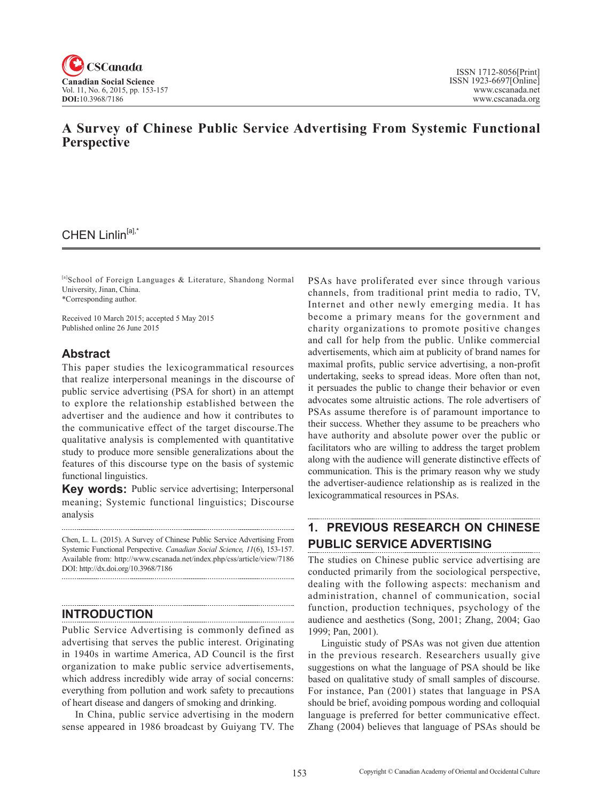

## **A Survey of Chinese Public Service Advertising From Systemic Functional Perspective**

## CHEN Linlin<sup>[a],\*</sup>

[a]School of Foreign Languages & Literature, Shandong Normal University, Jinan, China. \*Corresponding author.

Received 10 March 2015; accepted 5 May 2015 Published online 26 June 2015

### **Abstract**

This paper studies the lexicogrammatical resources that realize interpersonal meanings in the discourse of public service advertising (PSA for short) in an attempt to explore the relationship established between the advertiser and the audience and how it contributes to the communicative effect of the target discourse.The qualitative analysis is complemented with quantitative study to produce more sensible generalizations about the features of this discourse type on the basis of systemic functional linguistics.

**Key words:** Public service advertising; Interpersonal meaning; Systemic functional linguistics; Discourse analysis

Chen, L. L. (2015). A Survey of Chinese Public Service Advertising From Systemic Functional Perspective. *Canadian Social Science*, <sup>11</sup>(6), 153-157. Available from: http://www.cscanada.net/index.php/css/article/view/7186 DOI: http://dx.doi.org/10.3968/7186

### **INTRODUCTION**

Public Service Advertising is commonly defined as advertising that serves the public interest. Originating in 1940s in wartime America, AD Council is the first organization to make public service advertisements, which address incredibly wide array of social concerns: everything from pollution and work safety to precautions of heart disease and dangers of smoking and drinking.

In China, public service advertising in the modern sense appeared in 1986 broadcast by Guiyang TV. The PSAs have proliferated ever since through various channels, from traditional print media to radio, TV, Internet and other newly emerging media. It has become a primary means for the government and charity organizations to promote positive changes and call for help from the public. Unlike commercial advertisements, which aim at publicity of brand names for maximal profits, public service advertising, a non-profit undertaking, seeks to spread ideas. More often than not, it persuades the public to change their behavior or even advocates some altruistic actions. The role advertisers of PSAs assume therefore is of paramount importance to their success. Whether they assume to be preachers who have authority and absolute power over the public or facilitators who are willing to address the target problem along with the audience will generate distinctive effects of communication. This is the primary reason why we study the advertiser-audience relationship as is realized in the lexicogrammatical resources in PSAs.

# **1. PREVIOUS RESEARCH ON CHINESE PUBLIC SERVICE ADVERTISING**

The studies on Chinese public service advertising are conducted primarily from the sociological perspective, dealing with the following aspects: mechanism and administration, channel of communication, social function, production techniques, psychology of the audience and aesthetics (Song, 2001; Zhang, 2004; Gao 1999; Pan, 2001).

Linguistic study of PSAs was not given due attention in the previous research. Researchers usually give suggestions on what the language of PSA should be like based on qualitative study of small samples of discourse. For instance, Pan (2001) states that language in PSA should be brief, avoiding pompous wording and colloquial language is preferred for better communicative effect. Zhang (2004) believes that language of PSAs should be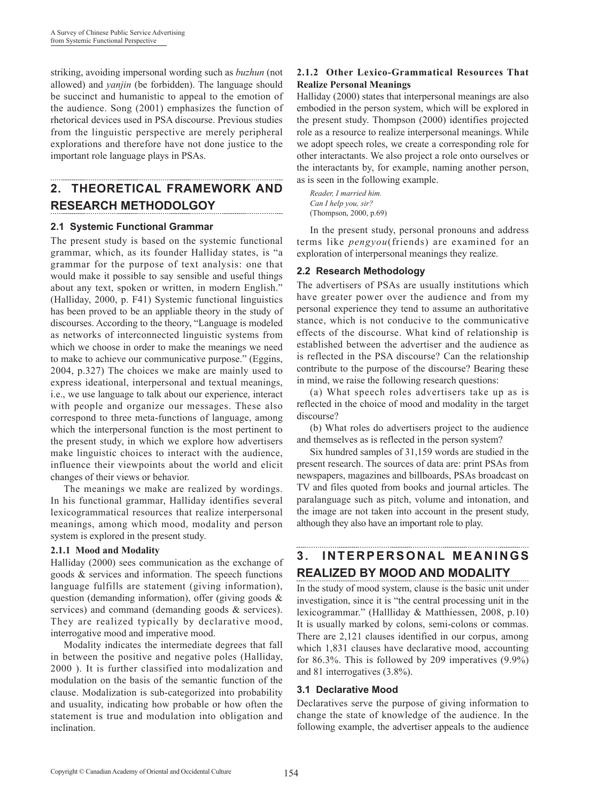striking, avoiding impersonal wording such as *buzhun* (not allowed) and *yanjin* (be forbidden). The language should be succinct and humanistic to appeal to the emotion of the audience. Song (2001) emphasizes the function of rhetorical devices used in PSA discourse. Previous studies from the linguistic perspective are merely peripheral explorations and therefore have not done justice to the important role language plays in PSAs.

# **2. THEORETICAL FRAMEWORK AND RESEARCH METHODOLGOY**

### **2.1 Systemic Functional Grammar**

The present study is based on the systemic functional grammar, which, as its founder Halliday states, is "a grammar for the purpose of text analysis: one that would make it possible to say sensible and useful things about any text, spoken or written, in modern English." (Halliday, 2000, p. F41) Systemic functional linguistics has been proved to be an appliable theory in the study of discourses. According to the theory, "Language is modeled as networks of interconnected linguistic systems from which we choose in order to make the meanings we need to make to achieve our communicative purpose." (Eggins, 2004, p.327) The choices we make are mainly used to express ideational, interpersonal and textual meanings, i.e., we use language to talk about our experience, interact with people and organize our messages. These also correspond to three meta-functions of language, among which the interpersonal function is the most pertinent to the present study, in which we explore how advertisers make linguistic choices to interact with the audience, influence their viewpoints about the world and elicit changes of their views or behavior.

The meanings we make are realized by wordings. In his functional grammar, Halliday identifies several lexicogrammatical resources that realize interpersonal meanings, among which mood, modality and person system is explored in the present study.

### **2.1.1 Mood and Modality**

Halliday (2000) sees communication as the exchange of goods & services and information. The speech functions language fulfills are statement (giving information), question (demanding information), offer (giving goods & services) and command (demanding goods & services). They are realized typically by declarative mood, interrogative mood and imperative mood.

Modality indicates the intermediate degrees that fall in between the positive and negative poles (Halliday, 2000 ). It is further classified into modalization and modulation on the basis of the semantic function of the clause. Modalization is sub-categorized into probability and usuality, indicating how probable or how often the statement is true and modulation into obligation and inclination.

### **2.1.2 Other Lexico-Grammatical Resources That Realize Personal Meanings**

Halliday (2000) states that interpersonal meanings are also embodied in the person system, which will be explored in the present study. Thompson (2000) identifies projected role as a resource to realize interpersonal meanings. While we adopt speech roles, we create a corresponding role for other interactants. We also project a role onto ourselves or the interactants by, for example, naming another person, as is seen in the following example.

*Reader, I married him. Can I help you, sir?* (Thompson, 2000, p.69)

In the present study, personal pronouns and address terms like *pengyou*(friends) are examined for an exploration of interpersonal meanings they realize.

### **2.2 Research Methodology**

The advertisers of PSAs are usually institutions which have greater power over the audience and from my personal experience they tend to assume an authoritative stance, which is not conducive to the communicative effects of the discourse. What kind of relationship is established between the advertiser and the audience as is reflected in the PSA discourse? Can the relationship contribute to the purpose of the discourse? Bearing these in mind, we raise the following research questions:

(a) What speech roles advertisers take up as is reflected in the choice of mood and modality in the target discourse?

(b) What roles do advertisers project to the audience and themselves as is reflected in the person system?

Six hundred samples of 31,159 words are studied in the present research. The sources of data are: print PSAs from newspapers, magazines and billboards, PSAs broadcast on TV and files quoted from books and journal articles. The paralanguage such as pitch, volume and intonation, and the image are not taken into account in the present study, although they also have an important role to play.

## **3 . I N T E R P E R S O N A L M E A N I N G S REALIZED BY MOOD AND MODALITY**

In the study of mood system, clause is the basic unit under investigation, since it is "the central processing unit in the lexicogrammar." (Hallliday & Matthiessen, 2008, p.10) It is usually marked by colons, semi-colons or commas. There are 2,121 clauses identified in our corpus, among which 1,831 clauses have declarative mood, accounting for 86.3%. This is followed by 209 imperatives (9.9%) and 81 interrogatives (3.8%).

### **3.1 Declarative Mood**

Declaratives serve the purpose of giving information to change the state of knowledge of the audience. In the following example, the advertiser appeals to the audience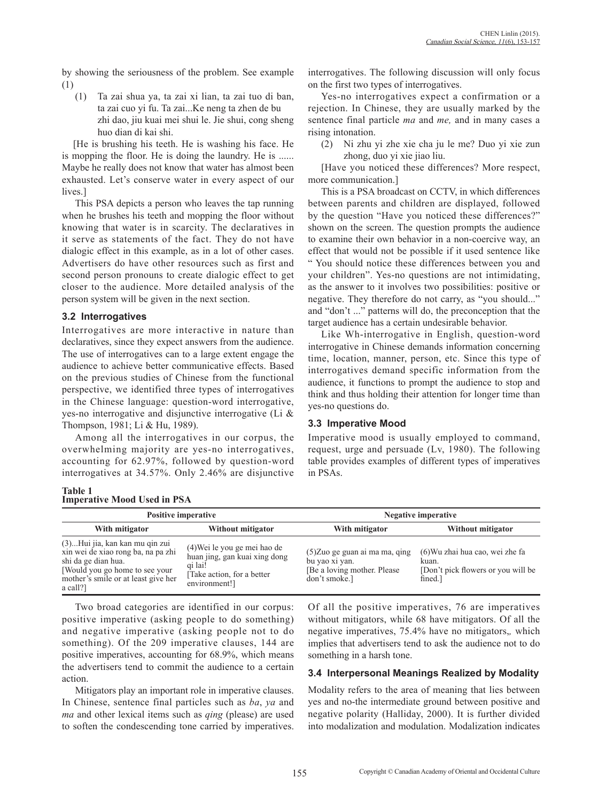by showing the seriousness of the problem. See example (1)

(1) Ta zai shua ya, ta zai xi lian, ta zai tuo di ban, ta zai cuo yi fu. Ta zai...Ke neng ta zhen de bu zhi dao, jiu kuai mei shui le. Jie shui, cong sheng huo dian di kai shi.

[He is brushing his teeth. He is washing his face. He is mopping the floor. He is doing the laundry. He is ...... Maybe he really does not know that water has almost been exhausted. Let's conserve water in every aspect of our lives.]

This PSA depicts a person who leaves the tap running when he brushes his teeth and mopping the floor without knowing that water is in scarcity. The declaratives in it serve as statements of the fact. They do not have dialogic effect in this example, as in a lot of other cases. Advertisers do have other resources such as first and second person pronouns to create dialogic effect to get closer to the audience. More detailed analysis of the person system will be given in the next section.

### **3.2 Interrogatives**

Interrogatives are more interactive in nature than declaratives, since they expect answers from the audience. The use of interrogatives can to a large extent engage the audience to achieve better communicative effects. Based on the previous studies of Chinese from the functional perspective, we identified three types of interrogatives in the Chinese language: question-word interrogative, yes-no interrogative and disjunctive interrogative (Li & Thompson, 1981; Li & Hu, 1989).

Among all the interrogatives in our corpus, the overwhelming majority are yes-no interrogatives, accounting for 62.97%, followed by question-word interrogatives at 34.57%. Only 2.46% are disjunctive

| <b>Table 1</b>                     |  |  |
|------------------------------------|--|--|
| <b>Imperative Mood Used in PSA</b> |  |  |

interrogatives. The following discussion will only focus on the first two types of interrogatives.

Yes-no interrogatives expect a confirmation or a rejection. In Chinese, they are usually marked by the sentence final particle *ma* and *me,* and in many cases a rising intonation.

(2) Ni zhu yi zhe xie cha ju le me? Duo yi xie zun zhong, duo yi xie jiao liu.

[Have you noticed these differences? More respect, more communication.]

This is a PSA broadcast on CCTV, in which differences between parents and children are displayed, followed by the question "Have you noticed these differences?" shown on the screen. The question prompts the audience to examine their own behavior in a non-coercive way, an effect that would not be possible if it used sentence like " You should notice these differences between you and your children". Yes-no questions are not intimidating, as the answer to it involves two possibilities: positive or negative. They therefore do not carry, as "you should..." and "don't ..." patterns will do, the preconception that the target audience has a certain undesirable behavior.

Like Wh-interrogative in English, question-word interrogative in Chinese demands information concerning time, location, manner, person, etc. Since this type of interrogatives demand specific information from the audience, it functions to prompt the audience to stop and think and thus holding their attention for longer time than yes-no questions do.

### **3.3 Imperative Mood**

Imperative mood is usually employed to command, request, urge and persuade (Lv, 1980). The following table provides examples of different types of imperatives in PSAs.

|                                                                                                                                                                                   | <b>Positive imperative</b>                                                                                               | <b>Negative imperative</b>                                                                        |                                                                                           |  |  |  |  |  |  |
|-----------------------------------------------------------------------------------------------------------------------------------------------------------------------------------|--------------------------------------------------------------------------------------------------------------------------|---------------------------------------------------------------------------------------------------|-------------------------------------------------------------------------------------------|--|--|--|--|--|--|
| With mitigator                                                                                                                                                                    | Without mitigator                                                                                                        | With mitigator                                                                                    | Without mitigator                                                                         |  |  |  |  |  |  |
| (3)Hui jia, kan kan mu qin zui<br>xin wei de xiao rong ba, na pa zhi<br>shi da ge dian hua.<br>[Would you go home to see your]<br>mother's smile or at least give her<br>a call?] | (4) Wei le you ge mei hao de<br>huan jing, gan kuai xing dong<br>gi lai!<br>[Take action, for a better]<br>environment!] | (5) Zuo ge guan ai ma ma, qing<br>bu yao xi yan.<br>[Be a loving mother. Please]<br>don't smoke.] | (6) Wu zhai hua cao, wei zhe fa<br>kuan.<br>[Don't pick flowers or you will be<br>fined.] |  |  |  |  |  |  |

Two broad categories are identified in our corpus: positive imperative (asking people to do something) and negative imperative (asking people not to do something). Of the 209 imperative clauses, 144 are positive imperatives, accounting for 68.9%, which means the advertisers tend to commit the audience to a certain action.

Mitigators play an important role in imperative clauses. In Chinese, sentence final particles such as *ba*, *ya* and *ma* and other lexical items such as *qing* (please) are used to soften the condescending tone carried by imperatives.

Of all the positive imperatives, 76 are imperatives without mitigators, while 68 have mitigators. Of all the negative imperatives, 75.4% have no mitigators,*,* which implies that advertisers tend to ask the audience not to do something in a harsh tone.

### **3.4 Interpersonal Meanings Realized by Modality**

Modality refers to the area of meaning that lies between yes and no-the intermediate ground between positive and negative polarity (Halliday, 2000). It is further divided into modalization and modulation. Modalization indicates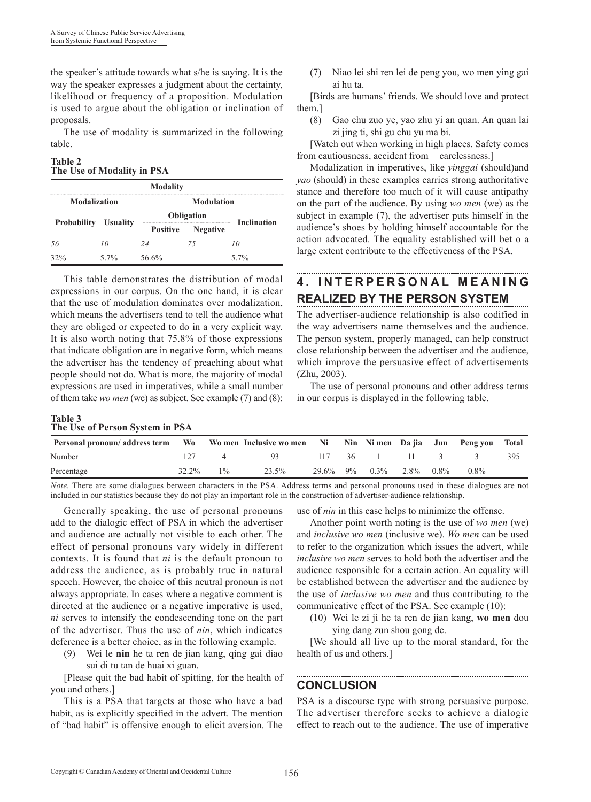the speaker's attitude towards what s/he is saying. It is the way the speaker expresses a judgment about the certainty, likelihood or frequency of a proposition. Modulation is used to argue about the obligation or inclination of proposals.

The use of modality is summarized in the following table.

### **Table 2 The Use of Modality in PSA**

| <b>Modality</b>             |         |                   |                    |         |  |  |  |
|-----------------------------|---------|-------------------|--------------------|---------|--|--|--|
| <b>Modalization</b>         |         | <b>Modulation</b> |                    |         |  |  |  |
| <b>Probability</b> Usuality |         | <b>Obligation</b> | <b>Inclination</b> |         |  |  |  |
|                             |         | <b>Positive</b>   | <b>Negative</b>    |         |  |  |  |
|                             |         |                   |                    |         |  |  |  |
| 32%                         | $5.7\%$ | 56.6%             |                    | $5.7\%$ |  |  |  |

This table demonstrates the distribution of modal expressions in our corpus. On the one hand, it is clear that the use of modulation dominates over modalization, which means the advertisers tend to tell the audience what they are obliged or expected to do in a very explicit way. It is also worth noting that 75.8% of those expressions that indicate obligation are in negative form, which means the advertiser has the tendency of preaching about what people should not do. What is more, the majority of modal expressions are used in imperatives, while a small number of them take *wo men* (we) as subject. See example (7) and (8):

### **Table 3 The Use of Person System in PSA**

(7) Niao lei shi ren lei de peng you, wo men ying gai ai hu ta.

[Birds are humans' friends. We should love and protect them.]

(8) Gao chu zuo ye, yao zhu yi an quan. An quan lai zi jing ti, shi gu chu yu ma bi.

[Watch out when working in high places. Safety comes from cautiousness, accident from carelessness.]

Modalization in imperatives, like *yinggai* (should)and *yao* (should) in these examples carries strong authoritative stance and therefore too much of it will cause antipathy on the part of the audience. By using *wo men* (we) as the subject in example (7), the advertiser puts himself in the audience's shoes by holding himself accountable for the action advocated. The equality established will bet o a large extent contribute to the effectiveness of the PSA.

## **4 . I N T E R P E R S O N A L M E A N I N G REALIZED BY THE PERSON SYSTEM**

The advertiser-audience relationship is also codified in the way advertisers name themselves and the audience. The person system, properly managed, can help construct close relationship between the advertiser and the audience, which improve the persuasive effect of advertisements (Zhu, 2003).

The use of personal pronouns and other address terms in our corpus is displayed in the following table.

| $\frac{1}{2}$ and $\frac{1}{2}$ of $\frac{1}{2}$ of $\frac{1}{2}$ of $\frac{1}{2}$ of $\frac{1}{2}$ of $\frac{1}{2}$ of $\frac{1}{2}$ of $\frac{1}{2}$ |       |       |       |  |  |                         |  |         |         |       |
|--------------------------------------------------------------------------------------------------------------------------------------------------------|-------|-------|-------|--|--|-------------------------|--|---------|---------|-------|
| Personal pronoun/address term Wo Women Inclusive women Ni Nim Nimen Dajia Jun Pengyou                                                                  |       |       |       |  |  |                         |  |         |         | Total |
| Number                                                                                                                                                 |       |       | -93.  |  |  | $117 \t36 \t1 \t11 \t3$ |  |         |         |       |
| Percentage                                                                                                                                             | 32.2% | $1\%$ | 23.5% |  |  | 29.6% 9% 0.3% 2.8%      |  | $0.8\%$ | $0.8\%$ |       |

*Note.* There are some dialogues between characters in the PSA. Address terms and personal pronouns used in these dialogues are not included in our statistics because they do not play an important role in the construction of advertiser-audience relationship.

Generally speaking, the use of personal pronouns add to the dialogic effect of PSA in which the advertiser and audience are actually not visible to each other. The effect of personal pronouns vary widely in different contexts. It is found that *ni* is the default pronoun to address the audience, as is probably true in natural speech. However, the choice of this neutral pronoun is not always appropriate. In cases where a negative comment is directed at the audience or a negative imperative is used, *ni* serves to intensify the condescending tone on the part of the advertiser. Thus the use of *nin*, which indicates deference is a better choice, as in the following example.

(9) Wei le **nin** he ta ren de jian kang, qing gai diao sui di tu tan de huai xi guan.

[Please quit the bad habit of spitting, for the health of you and others.]

This is a PSA that targets at those who have a bad habit, as is explicitly specified in the advert. The mention of "bad habit" is offensive enough to elicit aversion. The

use of *nin* in this case helps to minimize the offense.

Another point worth noting is the use of *wo men* (we) and *inclusive wo men* (inclusive we). *Wo men* can be used to refer to the organization which issues the advert, while *inclusive wo men* serves to hold both the advertiser and the audience responsible for a certain action. An equality will be established between the advertiser and the audience by the use of *inclusive wo men* and thus contributing to the communicative effect of the PSA. See example (10):

(10) Wei le zi ji he ta ren de jian kang, **wo men** dou ying dang zun shou gong de.

[We should all live up to the moral standard, for the health of us and others.]

## **CONCLUSION**

PSA is a discourse type with strong persuasive purpose. The advertiser therefore seeks to achieve a dialogic effect to reach out to the audience. The use of imperative